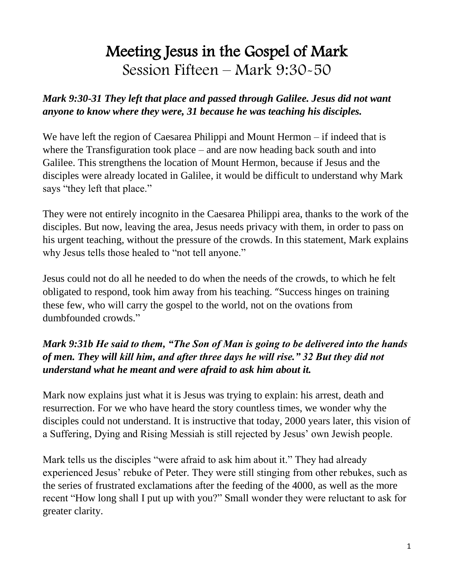# Meeting Jesus in the Gospel of Mark Session Fifteen – Mark 9:30-50

#### *Mark 9:30-31 They left that place and passed through Galilee. Jesus did not want anyone to know where they were, 31 because he was teaching his disciples.*

We have left the region of Caesarea Philippi and Mount Hermon – if indeed that is where the Transfiguration took place – and are now heading back south and into Galilee. This strengthens the location of Mount Hermon, because if Jesus and the disciples were already located in Galilee, it would be difficult to understand why Mark says "they left that place."

They were not entirely incognito in the Caesarea Philippi area, thanks to the work of the disciples. But now, leaving the area, Jesus needs privacy with them, in order to pass on his urgent teaching, without the pressure of the crowds. In this statement, Mark explains why Jesus tells those healed to "not tell anyone."

Jesus could not do all he needed to do when the needs of the crowds, to which he felt obligated to respond, took him away from his teaching. "Success hinges on training these few, who will carry the gospel to the world, not on the ovations from dumbfounded crowds."

## *Mark 9:31b He said to them, "The Son of Man is going to be delivered into the hands of men. They will kill him, and after three days he will rise." 32 But they did not understand what he meant and were afraid to ask him about it.*

Mark now explains just what it is Jesus was trying to explain: his arrest, death and resurrection. For we who have heard the story countless times, we wonder why the disciples could not understand. It is instructive that today, 2000 years later, this vision of a Suffering, Dying and Rising Messiah is still rejected by Jesus' own Jewish people.

Mark tells us the disciples "were afraid to ask him about it." They had already experienced Jesus' rebuke of Peter. They were still stinging from other rebukes, such as the series of frustrated exclamations after the feeding of the 4000, as well as the more recent "How long shall I put up with you?" Small wonder they were reluctant to ask for greater clarity.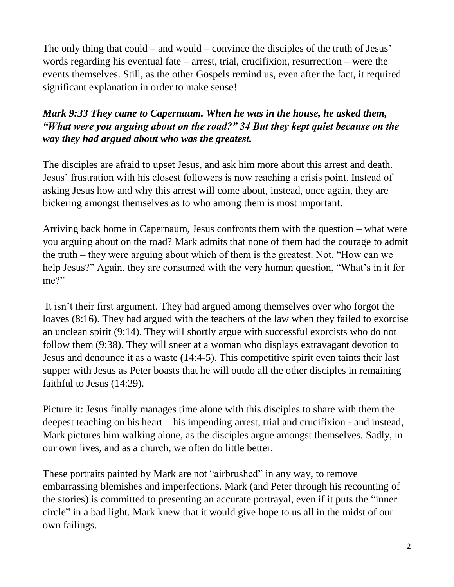The only thing that could – and would – convince the disciples of the truth of Jesus' words regarding his eventual fate – arrest, trial, crucifixion, resurrection – were the events themselves. Still, as the other Gospels remind us, even after the fact, it required significant explanation in order to make sense!

# *Mark 9:33 They came to Capernaum. When he was in the house, he asked them, "What were you arguing about on the road?" 34 But they kept quiet because on the way they had argued about who was the greatest.*

The disciples are afraid to upset Jesus, and ask him more about this arrest and death. Jesus' frustration with his closest followers is now reaching a crisis point. Instead of asking Jesus how and why this arrest will come about, instead, once again, they are bickering amongst themselves as to who among them is most important.

Arriving back home in Capernaum, Jesus confronts them with the question – what were you arguing about on the road? Mark admits that none of them had the courage to admit the truth – they were arguing about which of them is the greatest. Not, "How can we help Jesus?" Again, they are consumed with the very human question, "What's in it for me?"

It isn't their first argument. They had argued among themselves over who forgot the loaves (8:16). They had argued with the teachers of the law when they failed to exorcise an unclean spirit (9:14). They will shortly argue with successful exorcists who do not follow them (9:38). They will sneer at a woman who displays extravagant devotion to Jesus and denounce it as a waste (14:4-5). This competitive spirit even taints their last supper with Jesus as Peter boasts that he will outdo all the other disciples in remaining faithful to Jesus (14:29).

Picture it: Jesus finally manages time alone with this disciples to share with them the deepest teaching on his heart – his impending arrest, trial and crucifixion - and instead, Mark pictures him walking alone, as the disciples argue amongst themselves. Sadly, in our own lives, and as a church, we often do little better.

These portraits painted by Mark are not "airbrushed" in any way, to remove embarrassing blemishes and imperfections. Mark (and Peter through his recounting of the stories) is committed to presenting an accurate portrayal, even if it puts the "inner circle" in a bad light. Mark knew that it would give hope to us all in the midst of our own failings.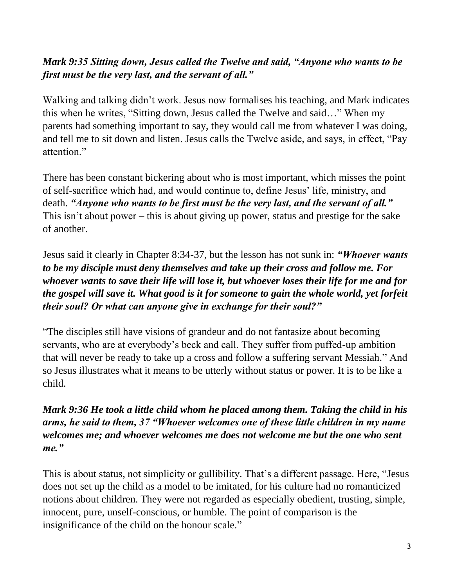# *Mark 9:35 Sitting down, Jesus called the Twelve and said, "Anyone who wants to be first must be the very last, and the servant of all."*

Walking and talking didn't work. Jesus now formalises his teaching, and Mark indicates this when he writes, "Sitting down, Jesus called the Twelve and said…" When my parents had something important to say, they would call me from whatever I was doing, and tell me to sit down and listen. Jesus calls the Twelve aside, and says, in effect, "Pay attention."

There has been constant bickering about who is most important, which misses the point of self-sacrifice which had, and would continue to, define Jesus' life, ministry, and death. *"Anyone who wants to be first must be the very last, and the servant of all."* This isn't about power – this is about giving up power, status and prestige for the sake of another.

Jesus said it clearly in Chapter 8:34-37, but the lesson has not sunk in: *"Whoever wants to be my disciple must deny themselves and take up their cross and follow me. For whoever wants to save their life will lose it, but whoever loses their life for me and for the gospel will save it. What good is it for someone to gain the whole world, yet forfeit their soul? Or what can anyone give in exchange for their soul?"*

"The disciples still have visions of grandeur and do not fantasize about becoming servants, who are at everybody's beck and call. They suffer from puffed-up ambition that will never be ready to take up a cross and follow a suffering servant Messiah." And so Jesus illustrates what it means to be utterly without status or power. It is to be like a child.

*Mark 9:36 He took a little child whom he placed among them. Taking the child in his arms, he said to them, 37 "Whoever welcomes one of these little children in my name welcomes me; and whoever welcomes me does not welcome me but the one who sent me."*

This is about status, not simplicity or gullibility. That's a different passage. Here, "Jesus does not set up the child as a model to be imitated, for his culture had no romanticized notions about children. They were not regarded as especially obedient, trusting, simple, innocent, pure, unself-conscious, or humble. The point of comparison is the insignificance of the child on the honour scale."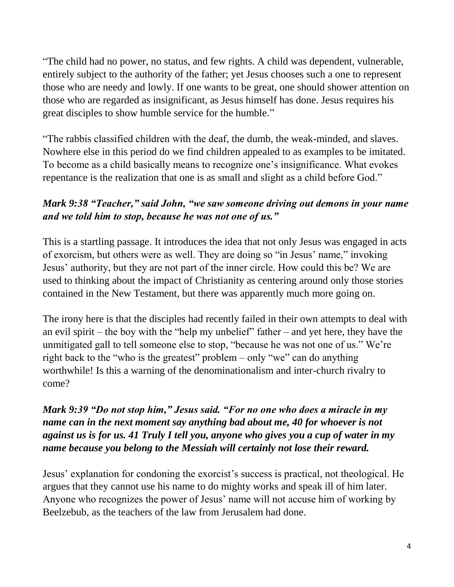"The child had no power, no status, and few rights. A child was dependent, vulnerable, entirely subject to the authority of the father; yet Jesus chooses such a one to represent those who are needy and lowly. If one wants to be great, one should shower attention on those who are regarded as insignificant, as Jesus himself has done. Jesus requires his great disciples to show humble service for the humble."

"The rabbis classified children with the deaf, the dumb, the weak-minded, and slaves. Nowhere else in this period do we find children appealed to as examples to be imitated. To become as a child basically means to recognize one's insignificance. What evokes repentance is the realization that one is as small and slight as a child before God."

### *Mark 9:38 "Teacher," said John, "we saw someone driving out demons in your name and we told him to stop, because he was not one of us."*

This is a startling passage. It introduces the idea that not only Jesus was engaged in acts of exorcism, but others were as well. They are doing so "in Jesus' name," invoking Jesus' authority, but they are not part of the inner circle. How could this be? We are used to thinking about the impact of Christianity as centering around only those stories contained in the New Testament, but there was apparently much more going on.

The irony here is that the disciples had recently failed in their own attempts to deal with an evil spirit – the boy with the "help my unbelief" father – and yet here, they have the unmitigated gall to tell someone else to stop, "because he was not one of us." We're right back to the "who is the greatest" problem – only "we" can do anything worthwhile! Is this a warning of the denominationalism and inter-church rivalry to come?

#### *Mark 9:39 "Do not stop him," Jesus said. "For no one who does a miracle in my name can in the next moment say anything bad about me, 40 for whoever is not against us is for us. 41 Truly I tell you, anyone who gives you a cup of water in my name because you belong to the Messiah will certainly not lose their reward.*

Jesus' explanation for condoning the exorcist's success is practical, not theological. He argues that they cannot use his name to do mighty works and speak ill of him later. Anyone who recognizes the power of Jesus' name will not accuse him of working by Beelzebub, as the teachers of the law from Jerusalem had done.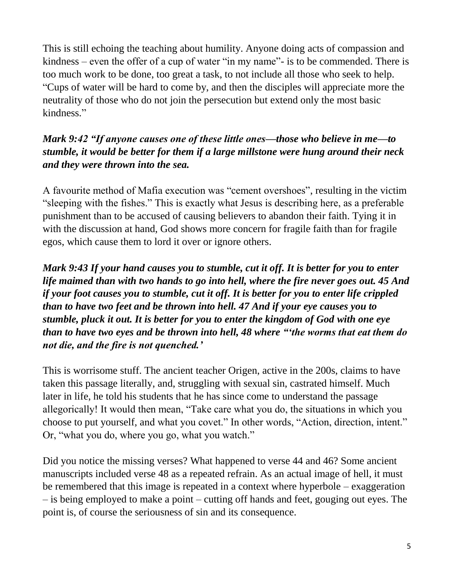This is still echoing the teaching about humility. Anyone doing acts of compassion and kindness – even the offer of a cup of water "in my name"- is to be commended. There is too much work to be done, too great a task, to not include all those who seek to help. "Cups of water will be hard to come by, and then the disciples will appreciate more the neutrality of those who do not join the persecution but extend only the most basic kindness."

### *Mark 9:42 "If anyone causes one of these little ones—those who believe in me—to stumble, it would be better for them if a large millstone were hung around their neck and they were thrown into the sea.*

A favourite method of Mafia execution was "cement overshoes", resulting in the victim "sleeping with the fishes." This is exactly what Jesus is describing here, as a preferable punishment than to be accused of causing believers to abandon their faith. Tying it in with the discussion at hand, God shows more concern for fragile faith than for fragile egos, which cause them to lord it over or ignore others.

*Mark 9:43 If your hand causes you to stumble, cut it off. It is better for you to enter life maimed than with two hands to go into hell, where the fire never goes out. 45 And if your foot causes you to stumble, cut it off. It is better for you to enter life crippled than to have two feet and be thrown into hell. 47 And if your eye causes you to stumble, pluck it out. It is better for you to enter the kingdom of God with one eye than to have two eyes and be thrown into hell, 48 where "'the worms that eat them do not die, and the fire is not quenched.'*

This is worrisome stuff. The ancient teacher Origen, active in the 200s, claims to have taken this passage literally, and, struggling with sexual sin, castrated himself. Much later in life, he told his students that he has since come to understand the passage allegorically! It would then mean, "Take care what you do, the situations in which you choose to put yourself, and what you covet." In other words, "Action, direction, intent." Or, "what you do, where you go, what you watch."

Did you notice the missing verses? What happened to verse 44 and 46? Some ancient manuscripts included verse 48 as a repeated refrain. As an actual image of hell, it must be remembered that this image is repeated in a context where hyperbole – exaggeration – is being employed to make a point – cutting off hands and feet, gouging out eyes. The point is, of course the seriousness of sin and its consequence.